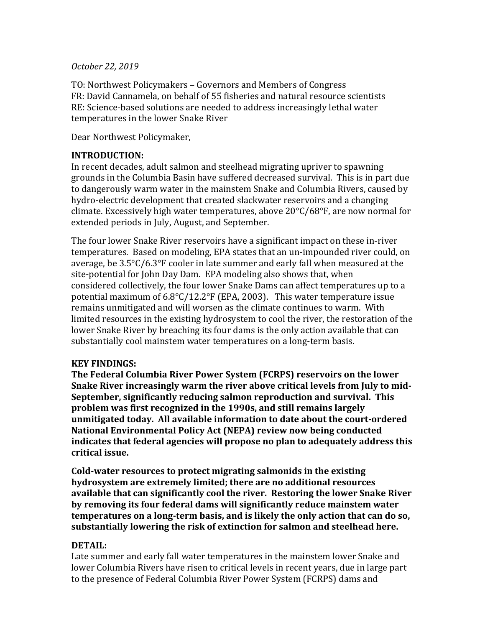## *October 22, 2019*

TO: Northwest Policymakers – Governors and Members of Congress FR: David Cannamela, on behalf of 55 fisheries and natural resource scientists RE: Science-based solutions are needed to address increasingly lethal water temperatures in the lower Snake River

Dear Northwest Policymaker,

# **INTRODUCTION:**

In recent decades, adult salmon and steelhead migrating upriver to spawning grounds in the Columbia Basin have suffered decreased survival. This is in part due to dangerously warm water in the mainstem Snake and Columbia Rivers, caused by hydro-electric development that created slackwater reservoirs and a changing climate. Excessively high water temperatures, above  $20^{\circ}C/68^{\circ}F$ , are now normal for extended periods in July, August, and September.

The four lower Snake River reservoirs have a significant impact on these in-river temperatures. Based on modeling, EPA states that an un-impounded river could, on average, be  $3.5^{\circ}$ C/6.3°F cooler in late summer and early fall when measured at the site-potential for John Day Dam. EPA modeling also shows that, when considered collectively, the four lower Snake Dams can affect temperatures up to a potential maximum of  $6.8^{\circ}C/12.2^{\circ}F$  (EPA, 2003). This water temperature issue remains unmitigated and will worsen as the climate continues to warm. With limited resources in the existing hydrosystem to cool the river, the restoration of the lower Snake River by breaching its four dams is the only action available that can substantially cool mainstem water temperatures on a long-term basis.

# **KEY FINDINGS:**

**The Federal Columbia River Power System (FCRPS) reservoirs on the lower** Snake River increasingly warm the river above critical levels from July to mid-**September, significantly reducing salmon reproduction and survival. This** problem was first recognized in the 1990s, and still remains largely **unmitigated today.** All available information to date about the court-ordered **National Environmental Policy Act (NEPA) review now being conducted indicates that federal agencies will propose no plan to adequately address this** critical issue.

Cold-water resources to protect migrating salmonids in the existing hydrosystem are extremely limited; there are no additional resources available that can significantly cool the river. Restoring the lower Snake River by removing its four federal dams will significantly reduce mainstem water **temperatures on a long-term basis, and is likely the only action that can do so, substantially lowering the risk of extinction for salmon and steelhead here.** 

# **DETAIL:**

Late summer and early fall water temperatures in the mainstem lower Snake and lower Columbia Rivers have risen to critical levels in recent vears, due in large part to the presence of Federal Columbia River Power System (FCRPS) dams and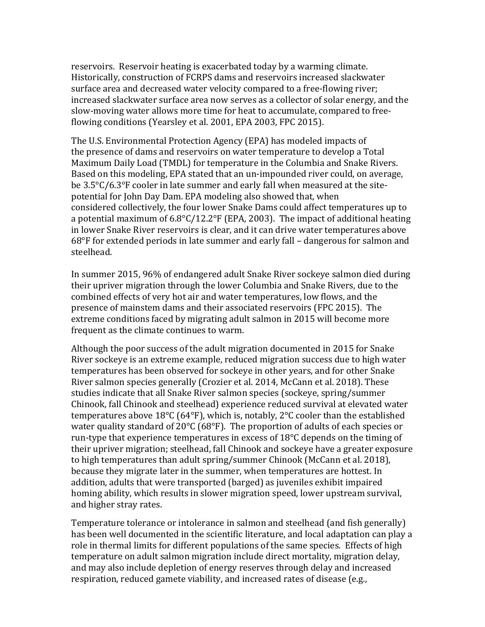reservoirs. Reservoir heating is exacerbated today by a warming climate. Historically, construction of FCRPS dams and reservoirs increased slackwater surface area and decreased water velocity compared to a free-flowing river; increased slackwater surface area now serves as a collector of solar energy, and the slow-moving water allows more time for heat to accumulate, compared to freeflowing conditions (Yearsley et al. 2001, EPA 2003, FPC 2015).

The U.S. Environmental Protection Agency (EPA) has modeled impacts of the presence of dams and reservoirs on water temperature to develop a Total Maximum Daily Load (TMDL) for temperature in the Columbia and Snake Rivers. Based on this modeling, EPA stated that an un-impounded river could, on average, be  $3.5^{\circ}$ C/6.3°F cooler in late summer and early fall when measured at the sitepotential for John Day Dam. EPA modeling also showed that, when considered collectively, the four lower Snake Dams could affect temperatures up to a potential maximum of  $6.8^{\circ}$ C/12.2°F (EPA, 2003). The impact of additional heating in lower Snake River reservoirs is clear, and it can drive water temperatures above 68 $\degree$ F for extended periods in late summer and early fall – dangerous for salmon and steelhead.

In summer 2015, 96% of endangered adult Snake River sockeye salmon died during their upriver migration through the lower Columbia and Snake Rivers, due to the combined effects of very hot air and water temperatures, low flows, and the presence of mainstem dams and their associated reservoirs (FPC 2015). The extreme conditions faced by migrating adult salmon in 2015 will become more frequent as the climate continues to warm.

Although the poor success of the adult migration documented in 2015 for Snake River sockeye is an extreme example, reduced migration success due to high water temperatures has been observed for sockeye in other years, and for other Snake River salmon species generally (Crozier et al. 2014, McCann et al. 2018). These studies indicate that all Snake River salmon species (sockeye, spring/summer Chinook, fall Chinook and steelhead) experience reduced survival at elevated water temperatures above  $18^{\circ}$ C (64°F), which is, notably, 2°C cooler than the established water quality standard of 20 $\textdegree$ C (68 $\textdegree$ F). The proportion of adults of each species or run-type that experience temperatures in excess of  $18^{\circ}$ C depends on the timing of their upriver migration; steelhead, fall Chinook and sockeye have a greater exposure to high temperatures than adult spring/summer Chinook (McCann et al. 2018), because they migrate later in the summer, when temperatures are hottest. In addition, adults that were transported (barged) as juveniles exhibit impaired homing ability, which results in slower migration speed, lower upstream survival, and higher stray rates.

Temperature tolerance or intolerance in salmon and steelhead (and fish generally) has been well documented in the scientific literature, and local adaptation can play a role in thermal limits for different populations of the same species. Effects of high temperature on adult salmon migration include direct mortality, migration delay, and may also include depletion of energy reserves through delay and increased respiration, reduced gamete viability, and increased rates of disease (e.g.,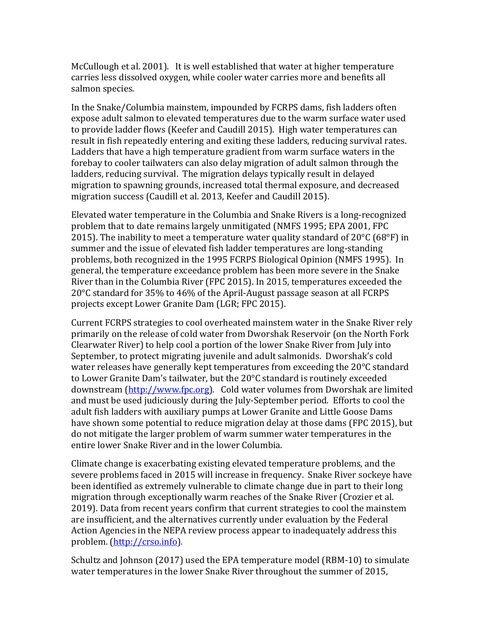McCullough et al. 2001). It is well established that water at higher temperature carries less dissolved oxygen, while cooler water carries more and benefits all salmon species.

In the Snake/Columbia mainstem, impounded by FCRPS dams, fish ladders often expose adult salmon to elevated temperatures due to the warm surface water used to provide ladder flows (Keefer and Caudill 2015). High water temperatures can result in fish repeatedly entering and exiting these ladders, reducing survival rates. Ladders that have a high temperature gradient from warm surface waters in the forebay to cooler tailwaters can also delay migration of adult salmon through the ladders, reducing survival. The migration delays typically result in delayed migration to spawning grounds, increased total thermal exposure, and decreased migration success (Caudill et al. 2013, Keefer and Caudill 2015).

Elevated water temperature in the Columbia and Snake Rivers is a long-recognized problem that to date remains largely unmitigated (NMFS 1995; EPA 2001, FPC 2015). The inability to meet a temperature water quality standard of  $20^{\circ}$ C (68°F) in summer and the issue of elevated fish ladder temperatures are long-standing problems, both recognized in the 1995 FCRPS Biological Opinion (NMFS 1995). In general, the temperature exceedance problem has been more severe in the Snake River than in the Columbia River (FPC 2015). In 2015, temperatures exceeded the  $20^{\circ}$ C standard for  $35\%$  to  $46\%$  of the April-August passage season at all FCRPS projects except Lower Granite Dam (LGR; FPC 2015).

Current FCRPS strategies to cool overheated mainstem water in the Snake River rely primarily on the release of cold water from Dworshak Reservoir (on the North Fork Clearwater River) to help cool a portion of the lower Snake River from July into September, to protect migrating juvenile and adult salmonids. Dworshak's cold water releases have generally kept temperatures from exceeding the  $20^{\circ}$ C standard to Lower Granite Dam's tailwater, but the  $20^{\circ}$ C standard is routinely exceeded downstream (http://www.fpc.org). Cold water volumes from Dworshak are limited and must be used judiciously during the July-September period. Efforts to cool the adult fish ladders with auxiliary pumps at Lower Granite and Little Goose Dams have shown some potential to reduce migration delay at those dams (FPC 2015), but do not mitigate the larger problem of warm summer water temperatures in the entire lower Snake River and in the lower Columbia.

Climate change is exacerbating existing elevated temperature problems, and the severe problems faced in 2015 will increase in frequency. Snake River sockeye have been identified as extremely vulnerable to climate change due in part to their long migration through exceptionally warm reaches of the Snake River (Crozier et al. 2019). Data from recent years confirm that current strategies to cool the mainstem are insufficient, and the alternatives currently under evaluation by the Federal Action Agencies in the NEPA review process appear to inadequately address this problem. (http://crso.info).

Schultz and Johnson (2017) used the EPA temperature model (RBM-10) to simulate water temperatures in the lower Snake River throughout the summer of 2015,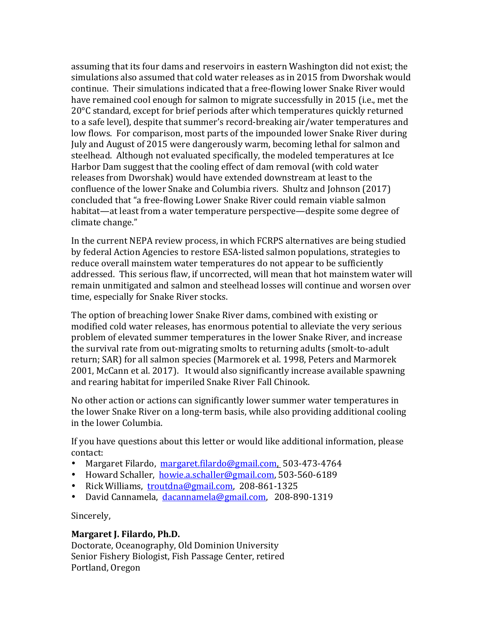assuming that its four dams and reservoirs in eastern Washington did not exist; the simulations also assumed that cold water releases as in 2015 from Dworshak would continue. Their simulations indicated that a free-flowing lower Snake River would have remained cool enough for salmon to migrate successfully in 2015 (i.e., met the 20°C standard, except for brief periods after which temperatures quickly returned to a safe level), despite that summer's record-breaking air/water temperatures and low flows. For comparison, most parts of the impounded lower Snake River during July and August of 2015 were dangerously warm, becoming lethal for salmon and steelhead. Although not evaluated specifically, the modeled temperatures at Ice Harbor Dam suggest that the cooling effect of dam removal (with cold water releases from Dworshak) would have extended downstream at least to the confluence of the lower Snake and Columbia rivers. Shultz and Johnson (2017) concluded that "a free-flowing Lower Snake River could remain viable salmon habitat—at least from a water temperature perspective—despite some degree of climate change."

In the current NEPA review process, in which FCRPS alternatives are being studied by federal Action Agencies to restore ESA-listed salmon populations, strategies to reduce overall mainstem water temperatures do not appear to be sufficiently addressed. This serious flaw, if uncorrected, will mean that hot mainstem water will remain unmitigated and salmon and steelhead losses will continue and worsen over time, especially for Snake River stocks.

The option of breaching lower Snake River dams, combined with existing or modified cold water releases, has enormous potential to alleviate the very serious problem of elevated summer temperatures in the lower Snake River, and increase the survival rate from out-migrating smolts to returning adults (smolt-to-adult) return; SAR) for all salmon species (Marmorek et al. 1998, Peters and Marmorek 2001, McCann et al. 2017). It would also significantly increase available spawning and rearing habitat for imperiled Snake River Fall Chinook.

No other action or actions can significantly lower summer water temperatures in the lower Snake River on a long-term basis, while also providing additional cooling in the lower Columbia.

If you have questions about this letter or would like additional information, please contact:

- Margaret Filardo, margaret.filardo@gmail.com, 503-473-4764
- Howard Schaller, howie.a.schaller@gmail.com, 503-560-6189
- Rick Williams, troutdna@gmail.com, 208-861-1325
- David Cannamela, dacannamela@gmail.com, 208-890-1319

Sincerely,

#### **Margaret J. Filardo, Ph.D.**

Doctorate, Oceanography, Old Dominion University Senior Fishery Biologist, Fish Passage Center, retired Portland, Oregon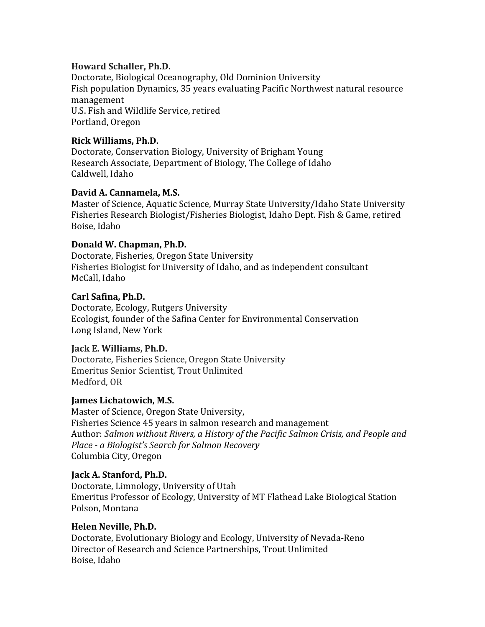# **Howard Schaller, Ph.D.**

Doctorate, Biological Oceanography, Old Dominion University Fish population Dynamics, 35 years evaluating Pacific Northwest natural resource management U.S. Fish and Wildlife Service, retired Portland, Oregon

# **Rick Williams, Ph.D.**

Doctorate, Conservation Biology, University of Brigham Young Research Associate, Department of Biology, The College of Idaho Caldwell, Idaho

# David A. Cannamela, M.S.

Master of Science, Aquatic Science, Murray State University/Idaho State University Fisheries Research Biologist/Fisheries Biologist, Idaho Dept. Fish & Game, retired Boise, Idaho

# **Donald W. Chapman, Ph.D.**

Doctorate, Fisheries, Oregon State University Fisheries Biologist for University of Idaho, and as independent consultant McCall, Idaho

# **Carl Safina, Ph.D.**

Doctorate, Ecology, Rutgers University Ecologist, founder of the Safina Center for Environmental Conservation Long Island, New York

# **Jack E. Williams, Ph.D.**

Doctorate, Fisheries Science, Oregon State University Emeritus Senior Scientist, Trout Unlimited Medford, OR

# **James Lichatowich, M.S.**

Master of Science, Oregon State University, Fisheries Science 45 years in salmon research and management Author: Salmon without Rivers, a History of the Pacific Salmon Crisis, and People and *Place - a Biologist's Search for Salmon Recovery* Columbia City, Oregon

# **Jack A. Stanford, Ph.D.**

Doctorate, Limnology, University of Utah Emeritus Professor of Ecology, University of MT Flathead Lake Biological Station Polson, Montana

# **Helen Neville, Ph.D.**

Doctorate, Evolutionary Biology and Ecology, University of Nevada-Reno Director of Research and Science Partnerships, Trout Unlimited Boise, Idaho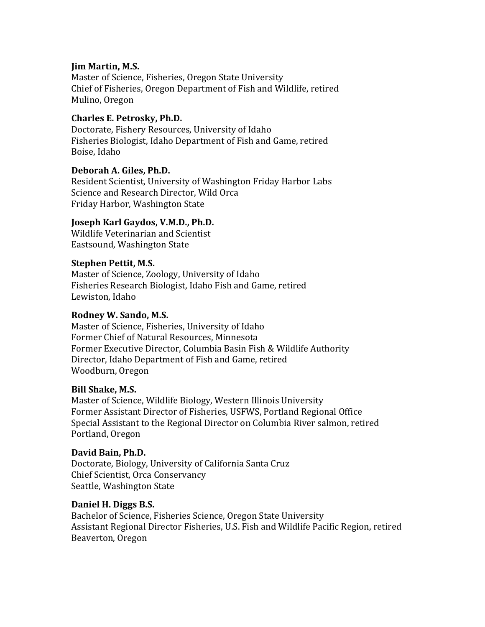# **Jim Martin, M.S.**

Master of Science, Fisheries, Oregon State University Chief of Fisheries, Oregon Department of Fish and Wildlife, retired Mulino, Oregon

# **Charles E. Petrosky, Ph.D.**

Doctorate, Fishery Resources, University of Idaho Fisheries Biologist, Idaho Department of Fish and Game, retired Boise, Idaho

# Deborah A. Giles, Ph.D.

Resident Scientist, University of Washington Friday Harbor Labs Science and Research Director, Wild Orca Friday Harbor, Washington State

# **Joseph Karl Gaydos, V.M.D., Ph.D.**

Wildlife Veterinarian and Scientist Eastsound, Washington State

# **Stephen Pettit, M.S.**

Master of Science, Zoology, University of Idaho Fisheries Research Biologist, Idaho Fish and Game, retired Lewiston, Idaho

# **Rodney W. Sando, M.S.**

Master of Science, Fisheries, University of Idaho Former Chief of Natural Resources, Minnesota Former Executive Director, Columbia Basin Fish & Wildlife Authority Director, Idaho Department of Fish and Game, retired Woodburn, Oregon

# **Bill Shake, M.S.**

Master of Science, Wildlife Biology, Western Illinois University Former Assistant Director of Fisheries, USFWS, Portland Regional Office Special Assistant to the Regional Director on Columbia River salmon, retired Portland, Oregon

# **David Bain, Ph.D.**

Doctorate, Biology, University of California Santa Cruz Chief Scientist, Orca Conservancy Seattle, Washington State

# Daniel H. Diggs B.S.

Bachelor of Science, Fisheries Science, Oregon State University Assistant Regional Director Fisheries, U.S. Fish and Wildlife Pacific Region, retired Beaverton, Oregon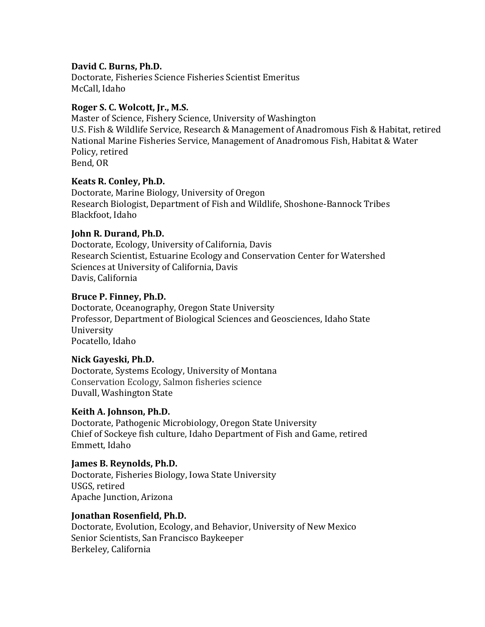# David C. Burns, Ph.D.

Doctorate, Fisheries Science Fisheries Scientist Emeritus McCall, Idaho

## Roger S. C. Wolcott, Jr., M.S.

Master of Science, Fishery Science, University of Washington U.S. Fish & Wildlife Service, Research & Management of Anadromous Fish & Habitat, retired National Marine Fisheries Service, Management of Anadromous Fish, Habitat & Water Policy, retired Bend, OR

## **Keats R. Conley, Ph.D.**

Doctorate, Marine Biology, University of Oregon Research Biologist, Department of Fish and Wildlife, Shoshone-Bannock Tribes Blackfoot, Idaho

## **John R. Durand, Ph.D.**

Doctorate, Ecology, University of California, Davis Research Scientist, Estuarine Ecology and Conservation Center for Watershed Sciences at University of California, Davis Davis, California

## **Bruce P. Finney, Ph.D.**

Doctorate, Oceanography, Oregon State University Professor, Department of Biological Sciences and Geosciences, Idaho State University Pocatello, Idaho

#### **Nick Gayeski, Ph.D.**

Doctorate, Systems Ecology, University of Montana Conservation Ecology, Salmon fisheries science Duvall, Washington State

#### Keith A. Johnson, Ph.D.

Doctorate, Pathogenic Microbiology, Oregon State University Chief of Sockeye fish culture, Idaho Department of Fish and Game, retired Emmett, Idaho

#### **James B. Reynolds, Ph.D.**

Doctorate, Fisheries Biology, Iowa State University USGS, retired Apache Junction, Arizona

#### **Jonathan Rosenfield, Ph.D.**

Doctorate, Evolution, Ecology, and Behavior, University of New Mexico Senior Scientists, San Francisco Baykeeper Berkeley, California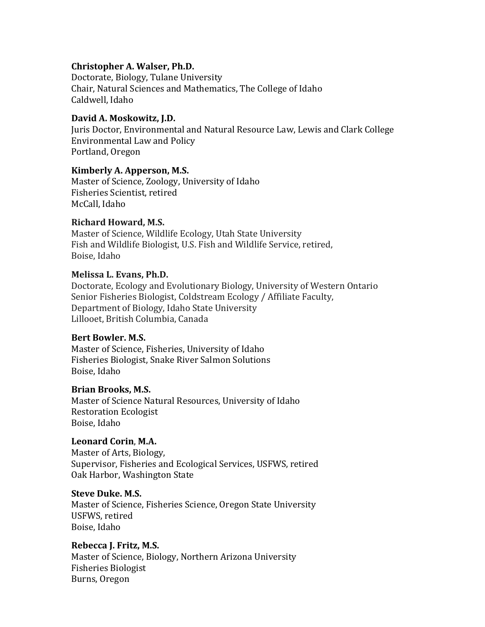## **Christopher A. Walser, Ph.D.**

Doctorate, Biology, Tulane University Chair, Natural Sciences and Mathematics, The College of Idaho Caldwell, Idaho

## David A. Moskowitz, J.D.

Juris Doctor, Environmental and Natural Resource Law, Lewis and Clark College Environmental Law and Policy Portland, Oregon

## **Kimberly A. Apperson, M.S.**

Master of Science, Zoology, University of Idaho Fisheries Scientist, retired McCall, Idaho

## **Richard Howard, M.S.**

Master of Science, Wildlife Ecology, Utah State University Fish and Wildlife Biologist, U.S. Fish and Wildlife Service, retired, Boise, Idaho

## **Melissa L. Evans, Ph.D.**

Doctorate, Ecology and Evolutionary Biology, University of Western Ontario Senior Fisheries Biologist, Coldstream Ecology / Affiliate Faculty, Department of Biology, Idaho State University Lillooet, British Columbia, Canada

#### Bert Bowler. M.S.

Master of Science, Fisheries, University of Idaho Fisheries Biologist, Snake River Salmon Solutions Boise, Idaho

#### Brian Brooks, M.S.

Master of Science Natural Resources, University of Idaho Restoration Ecologist Boise, Idaho

# **Leonard Corin**, **M.A.**

Master of Arts, Biology, Supervisor, Fisheries and Ecological Services, USFWS, retired Oak Harbor, Washington State

#### **Steve Duke. M.S.**

Master of Science, Fisheries Science, Oregon State University USFWS, retired Boise, Idaho

# Rebecca J. Fritz, M.S.

Master of Science, Biology, Northern Arizona University Fisheries Biologist Burns, Oregon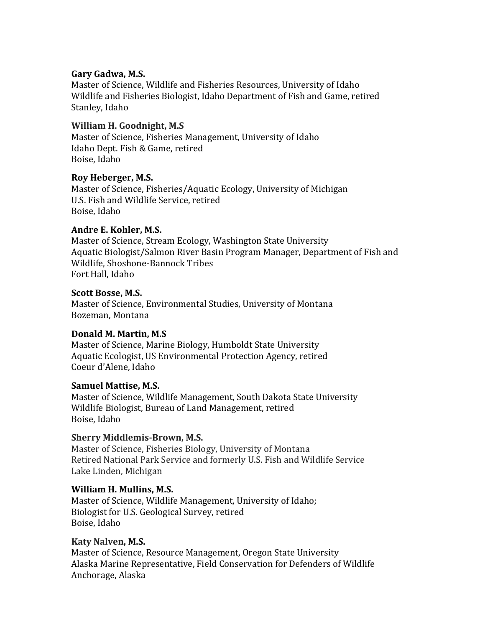### Gary Gadwa, M.S.

Master of Science, Wildlife and Fisheries Resources, University of Idaho Wildlife and Fisheries Biologist, Idaho Department of Fish and Game, retired Stanley, Idaho

# **William H. Goodnight, M.S.**

Master of Science, Fisheries Management, University of Idaho Idaho Dept. Fish & Game, retired Boise, Idaho

# **Roy Heberger, M.S.**

Master of Science, Fisheries/Aquatic Ecology, University of Michigan U.S. Fish and Wildlife Service, retired Boise, Idaho

# Andre E. Kohler, M.S.

Master of Science, Stream Ecology, Washington State University Aquatic Biologist/Salmon River Basin Program Manager, Department of Fish and Wildlife, Shoshone-Bannock Tribes Fort Hall, Idaho

#### **Scott Bosse, M.S.**

Master of Science, Environmental Studies, University of Montana Bozeman, Montana

#### **Donald M. Martin, M.S**

Master of Science, Marine Biology, Humboldt State University Aquatic Ecologist, US Environmental Protection Agency, retired Coeur d'Alene, Idaho

#### **Samuel Mattise, M.S.**

Master of Science, Wildlife Management, South Dakota State University Wildlife Biologist, Bureau of Land Management, retired Boise, Idaho

# **Sherry Middlemis-Brown, M.S.**

Master of Science, Fisheries Biology, University of Montana Retired National Park Service and formerly U.S. Fish and Wildlife Service Lake Linden, Michigan

#### William H. Mullins, M.S.

Master of Science, Wildlife Management, University of Idaho; Biologist for U.S. Geological Survey, retired Boise, Idaho

#### **Katy Nalven, M.S.**

Master of Science, Resource Management, Oregon State University Alaska Marine Representative, Field Conservation for Defenders of Wildlife Anchorage, Alaska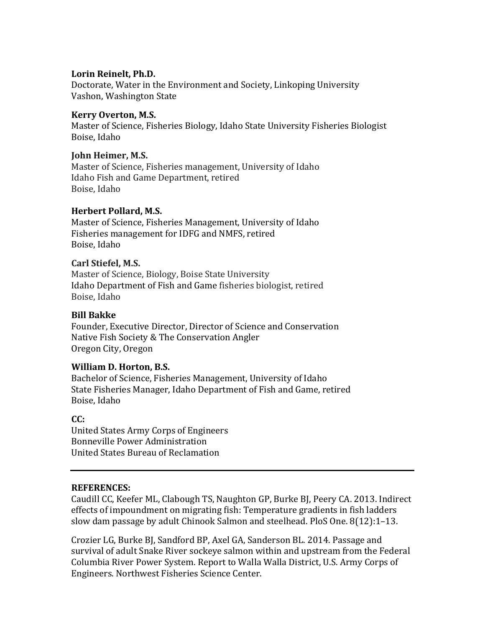## Lorin Reinelt, Ph.D.

Doctorate, Water in the Environment and Society, Linkoping University Vashon, Washington State

## **Kerry Overton, M.S.**

Master of Science, Fisheries Biology, Idaho State University Fisheries Biologist Boise, Idaho

## **John Heimer, M.S.**

Master of Science, Fisheries management, University of Idaho Idaho Fish and Game Department, retired Boise, Idaho

## **Herbert Pollard, M.S.**

Master of Science, Fisheries Management, University of Idaho Fisheries management for IDFG and NMFS, retired Boise, Idaho

## **Carl Stiefel, M.S.**

Master of Science, Biology, Boise State University Idaho Department of Fish and Game fisheries biologist, retired Boise, Idaho

## **Bill Bakke**

Founder, Executive Director, Director of Science and Conservation Native Fish Society & The Conservation Angler Oregon City, Oregon

#### **William D. Horton, B.S.**

Bachelor of Science, Fisheries Management, University of Idaho State Fisheries Manager, Idaho Department of Fish and Game, retired Boise, Idaho

#### **CC:**

United States Army Corps of Engineers Bonneville Power Administration United States Bureau of Reclamation

#### **REFERENCES:**

Caudill CC, Keefer ML, Clabough TS, Naughton GP, Burke BJ, Peery CA. 2013. Indirect effects of impoundment on migrating fish: Temperature gradients in fish ladders slow dam passage by adult Chinook Salmon and steelhead. PloS One.  $8(12):1-13$ .

Crozier LG, Burke BJ, Sandford BP, Axel GA, Sanderson BL. 2014. Passage and survival of adult Snake River sockeye salmon within and upstream from the Federal Columbia River Power System. Report to Walla Walla District, U.S. Army Corps of Engineers. Northwest Fisheries Science Center.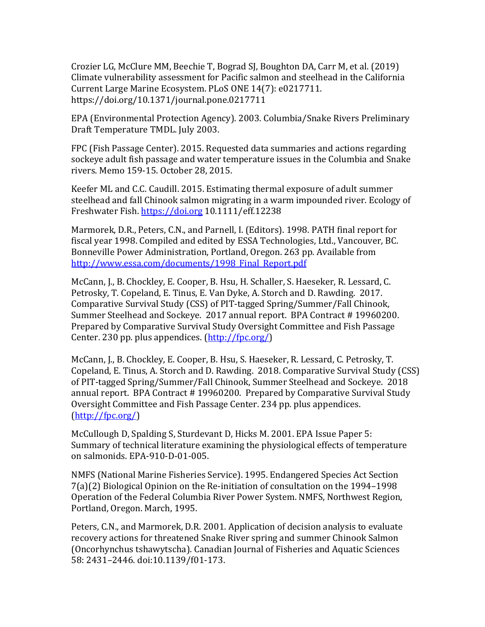Crozier LG, McClure MM, Beechie T, Bograd SJ, Boughton DA, Carr M, et al. (2019) Climate vulnerability assessment for Pacific salmon and steelhead in the California Current Large Marine Ecosystem. PLoS ONE 14(7): e0217711. https://doi.org/10.1371/journal.pone.0217711

EPA (Environmental Protection Agency). 2003. Columbia/Snake Rivers Preliminary Draft Temperature TMDL. July 2003.

FPC (Fish Passage Center). 2015. Requested data summaries and actions regarding sockeye adult fish passage and water temperature issues in the Columbia and Snake rivers. Memo 159-15. October 28, 2015. 

Keefer ML and C.C. Caudill. 2015. Estimating thermal exposure of adult summer steelhead and fall Chinook salmon migrating in a warm impounded river. Ecology of Freshwater Fish. https://doi.org 10.1111/eff.12238

Marmorek, D.R., Peters, C.N., and Parnell, I. (Editors). 1998. PATH final report for fiscal year 1998. Compiled and edited by ESSA Technologies, Ltd., Vancouver, BC. Bonneville Power Administration, Portland, Oregon. 263 pp. Available from http://www.essa.com/documents/1998 Final Report.pdf

McCann, J., B. Chockley, E. Cooper, B. Hsu, H. Schaller, S. Haeseker, R. Lessard, C. Petrosky, T. Copeland, E. Tinus, E. Van Dyke, A. Storch and D. Rawding. 2017. Comparative Survival Study (CSS) of PIT-tagged Spring/Summer/Fall Chinook, Summer Steelhead and Sockeye. 2017 annual report. BPA Contract # 19960200. Prepared by Comparative Survival Study Oversight Committee and Fish Passage Center. 230 pp. plus appendices.  $(\frac{http://fpc.org/}{$ 

McCann, J., B. Chockley, E. Cooper, B. Hsu, S. Haeseker, R. Lessard, C. Petrosky, T. Copeland, E. Tinus, A. Storch and D. Rawding. 2018. Comparative Survival Study (CSS) of PIT-tagged Spring/Summer/Fall Chinook, Summer Steelhead and Sockeye. 2018 annual report. BPA Contract # 19960200. Prepared by Comparative Survival Study Oversight Committee and Fish Passage Center. 234 pp. plus appendices. (http://fpc.org/)

McCullough D, Spalding S, Sturdevant D, Hicks M. 2001. EPA Issue Paper 5: Summary of technical literature examining the physiological effects of temperature on salmonids. EPA-910-D-01-005.

NMFS (National Marine Fisheries Service). 1995. Endangered Species Act Section  $7(a)(2)$  Biological Opinion on the Re-initiation of consultation on the 1994–1998 Operation of the Federal Columbia River Power System. NMFS, Northwest Region, Portland, Oregon. March, 1995.

Peters, C.N., and Marmorek, D.R. 2001. Application of decision analysis to evaluate recovery actions for threatened Snake River spring and summer Chinook Salmon (Oncorhynchus tshawytscha). Canadian Journal of Fisheries and Aquatic Sciences 58: 2431-2446. doi:10.1139/f01-173.